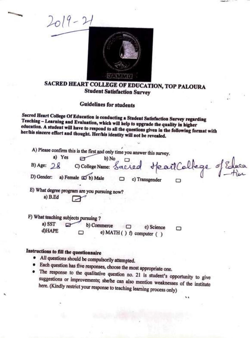

# SACRED HEART COLLEGE OF EDUCATION, TOP PALOURA Student Satisfaction Survey

..

Guidelines for students

Sacred Heart College Of Education is conducting a Student Satisfaction Survey regarding Teaching - Learning and Evaluation, which will help to upgrade the quality in higher education. A student will have to respond to all the questions given in the following format with her/his sincere effort and thought. Her/his identity will not be revealed.

| A) Please confirm this is the first and only time you answer this survey.<br>a) Yes                                                          | O College Name: Sacred Heart College of Educa |
|----------------------------------------------------------------------------------------------------------------------------------------------|-----------------------------------------------|
| B) Age: $28$                                                                                                                                 |                                               |
| D) Gender: a) Female (2) b) Male                                                                                                             | c) Transgender                                |
| E) What degree program are you pursuing now?<br>a) B.Ed                                                                                      |                                               |
| F) What teaching subjects pursuing ?                                                                                                         |                                               |
| a) SST<br>b) Commerce<br>□<br>d)HAPE<br>e) MATH () f) computer ()                                                                            | c) Science<br>▭                               |
| Instructions to fill the questionnaire<br>• All questions should be compulsorily attempted.<br>$\bullet$ Fack most $\bullet$ for $\bullet$ . |                                               |

٠,

• Each question has five responses, choose the most appropriate one.

The response to the qualitative question no. 21 is student's opportunity to give suggestions or improvements; she/he can also mention weaknesses of the institute here. (Kindly restrict your response to teaching learning process only)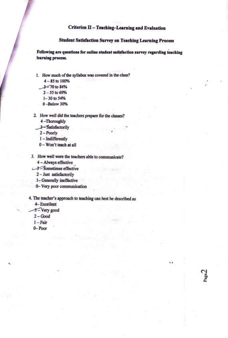#### **Criterion** II - **Teaching-Leaming and Evaluation**

### **Student Satisfaction Survey on Teaching Leaming Process**

 $_{\rm Page}2$ 

Following are questions for online student satisfaction survey regarding teaching **learning process.** 

- 1. How much of the syllabus was covered in the class?
	- 4-85to 100%
	- $3$   $\leq$  70 to 84%
		- 2-55to69%
		- I-30to *54%*
		- 0-Below30%
- 2. How well did the teachers prepare for the classes?
	- 4 -Thoroughly
	- 3-Satisfactorily
	- 2-Poorly
	- 1-Indifferently
	- 0 Won't teach at all
- 3. How well were the teachers able to communicate?
	- 4 Always effective
- $~\smash{\mathcal{A}}$  Sometimes effective
	- 2 Just. satisfactorily
	- 1~ Generally ineffective
	- 0- Very poor communication

## 4. The teacher's approach to teaching can best be described as

- 4- Excellent
- -3-Very good
- 2-Good
- 1-Fair
- 0-Poor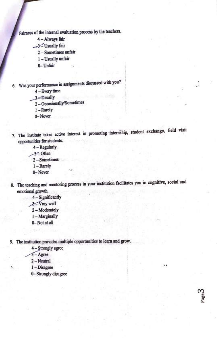Fairness of the internal evaluation process by the teachers.

- 4 Always fair
- ~ Usually fair
	- 2 Sometimes unfair·
	- 1 Usually unfair
	- 0-Unfair
- 6. Was your performance in assignments discussed with you?
	- 4 Every time
	- 3-Usually
	- 2 Occasionally/Sometimes
	- 1 Rarely
	- 0-Never
- 7. The institute takes active interest in promoting internship, student exchange, field visit opportunities for students.
	- 4 Regularly
	- $-3$ <sup> $\leq$ </sup> Often
	- 2 Sometimes
	- 1 Rarely
	- 0-Nevei'
- 8. The teaching and mentoring process in your institution facilitates you in cognitive, social and emotional growth.

.,

w

- 4- Significantly
- $-$ Very well
	- 2 Moderately
	- 1-Marginally
	- 0-Notatall
- 9. The institution provides multiple opportunities to learn and grow.
	- 4 Strongly agree
	- $3 -$ Agree
	- 2-Neutral
	- I-Disagree
	- 0- Strongly disagree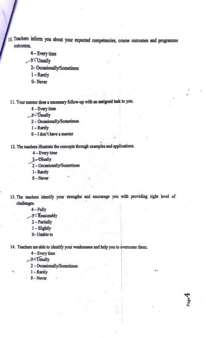- 10. Teachers inform you about your expected competencies, course outcomes and programme outcomes.
	- 4 Every time
	- ~ Usually
		- 2- Occasionally/Sometimes·
		- 1-Rarely
		- 0-Never

11. Your mentor does a necessary follow-up with an assigned task to you.

- 4 Every time
- 3-Usually
	- 2 Occasionally/Sometimes
	- I-Rarely
	- O I don't have a mentor
- 12. The teachers illustrate the concepts through examples and applications.
	- 4 Every time
	- 3-Usually
	- 2 Occasionally/Sometimes
	- I-Rarely
	- 0-Never
- 13. The teachers identify your strengths and encourage you with providing right level of challenges.

I

i ' <sup>I</sup>

''

- 4-Fully
- $-$  Reasonably
- 2 Partially
- 1 Slightly
- 0-Unable to

14. Teachers are able to identify your weaknesses and help you to overcome them.

- 4 Every time
- ~sually
	- 2 Occasionally/Sometimes
	- I-Rarely
	- 0-Never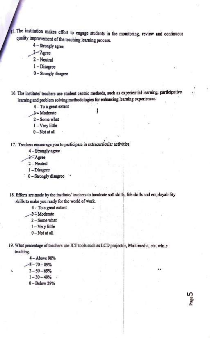15. The institution makes effort to engage students in the monitoring, review and continuous quality improvement of the teaching learning process.

- $4 -$  Strongly agree
- $3 \text{A}$ gree
- $2 -$ Neutral
- $1 Disagree$
- $0 -$ Strongly disagree

16. The institute/ teachers use student centric methods, such as experiential learning, participative learning and problem solving methodologies for enhancing learning experiences.

- 4-To a great extent
- 3<Moderate
- 2 Some what
- 1-Very little
- $0 Not$  at all

17. Teachers encourage you to participate in extracurricular activities.

- 4 Strongly agree
- $3 -$ Agree
- $2 -$ Neutral
- 1-Disagree
- 0 Strongly disagree
- 18. Efforts are made by the institute/ teachers to inculcate soft skills, life skills and employability skills to make you ready for the world of work.

4-To a great extent

- 3-Moderate
- 2-Some what
- 1-Very little
- $0 Not$  at all

19. What percentage of teachers use ICT tools such as LCD projector, Multimedia, etc. while teaching.

Gaste,

4-Above 90%

- $-3 70 89%$
- $2 50 69%$
- $1 30 49%$ .

 $0 - Below 29%$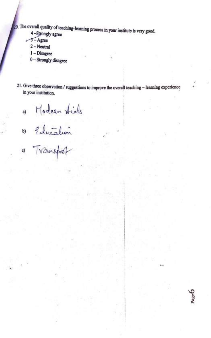20. The overall quality of teaching-learning process in your institute is very good.

- 4-Strongly agree
- $-5 \text{Agrec}$ 
	- $2 Neutral$
	- $1 Disagree$
	- 0 Strongly disagree
- 21. Give three observation / suggestions to improve the overall teaching learning experience in your institution.

0) Modeen tide<br>1) Education<br>1) Transport

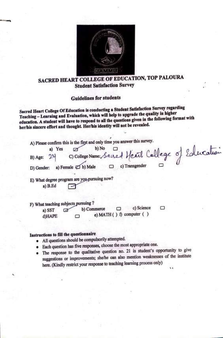

## SACRED HEART COLLEGE OF EDUCATION, TOP PALOURA Student Satisfaction Survey

Guidelines for students

Sacred Heart College Of Education is conducting a Student Satisfaction Survey regarding Teaching - Learning and Evaluation, which will help to upgrade the quality in higher education. A student will have to respond to all the questions given in the following format with her/his sincere effort and thought. Her/his identity will not be revealed.

A) Please confirm this is the first and only time you answer this survey.

a) Yes  $\varnothing$  b) No  $\Box$  *II*  $\Box$  of  $\Box$  of  $\Box$   $\Box$   $\Box$ B) Age: 24 C) College Name: Sacred Heart College 0 D) Gender: a) Female **≥D** b) Male **D** c) Transgender **D** 

E) What degree program are you pursuing now? a)  $B.Ed$ 

F) What teaching subjects pursuing ?

a) SST b) Commerce  $\Box$  c) Science  $\Box$ d)HAPE **c**) **MATH** ( ) f) computer ( )

## **Instructions to ftll the questionnaire**

- All questions should be compulsorily attempted.
- Each question has five responses, choose the most appropriate one.
- The response to the qualitative question no. 21 is student's opportunity to give suggestions or improvements; she/he can also mention weaknesses of the institute here. (Kindly restrict your response to teaching learning process only)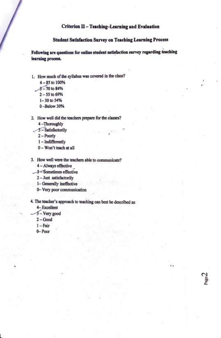#### **Criterion II - Teaching-Learning and Evaluation**

#### **Student Satisfaction Survey on Teaching Leaming Process**

*I* .

age.

Following are questions for online student satisfaction survey regarding teaching **learning process.** 

- 1. How much of the syllabus was covered in the class?<br> $4-85$  to 100%<br> $3-70$  to 84%<br> $2-55$  to 69%
	- $4 85$  to  $100\%$ <br> $3 70$  to 84%
		-
		- 2-55 to 69%
		- 1-30 to 54%
		- 0-Below30%
- 2. How well did the teachers prepare for the classes?
	- 4 -Thoroughly
- $-3$ -Satisfactorily
	- 2-Poorly
	- 1-Indifferently
	- 0 Won't teach at all
- 3. How well were the teachers able to communicate?
	- 4 Always effective
- $-3$  = Sometimes effective
	- 2 Just. satisfactorily
	- 1- Generally ineffective
	- 0- Very poor communication

4. The teacher's approach to teaching can best be described as

- 4-Excellent
- $3 -$  Very good
- 2-Good
- 1-Fair
- 0-Poor

L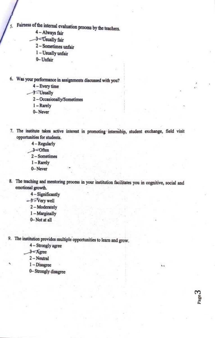Fairness of the internal evaluation process by the teachers.

4 - Always fair

5.

3-Usually fair

2 - Sometimes unfair

1 - Usually unfair

0-Unfair

6. Was your performance in assignments discussed with you?

 $4 - Every time$ 

-3-Usually

2-Occasionally/Sometimes

1-Rarely

0-Never

7. The institute takes active interest in promoting internship, student exchange, field visit opportunities for students.

4 - Regularly

 $3$   $-$ Often

2-Sometimes

 $1 -$ Rarely

0-Never

8. The teaching and mentoring process in your institution facilitates you in cognitive, social and emotional growth.

64

age,

4 - Significantly

3<sup>-</sup>Very well

2-Moderately

1-Marginally

0-Not at all

9. The institution provides multiple opportunities to learn and grow.

4 - Strongly agree

 $3 - \text{Agree}$ 

 $2 - Neutral$ 

 $1 - Disagree$ 

0-Strongly disagree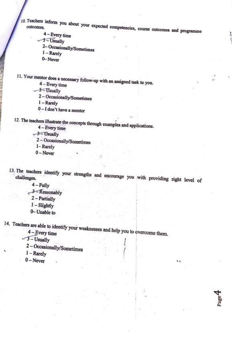10. Teachers inform you about your expected competencies, course outcomes and programme

- $4 Every time$
- $-3$  Usually
	- 2-Occasionally/Sometimes
	- $1 -$ Rarely
	- 0-Never

11. Your mentor does a necessary follow-up with an assigned task to you.

- $4 Every time$
- $-3 =$ Usually
- 2 Occasionally/Sometimes
- $1 -$ Rarely
- $0 I$  don't have a mentor

12. The teachers illustrate the concepts through examples and applications.

 $4 - Every time$ 

 $-3$  - Usually

- 2 Occasionally/Sometimes
- I-Rarely
- $0 -$ Never
- 13. The teachers identify your strengths and encourage you with providing right level of
	- $4 Fully$
	- 3-Reasonably
		- 2 Partially
		- $1-S$ lightly
		- 0-Unable to

14. Teachers are able to identify your weaknesses and help you to overcome them.

 $-3$  - Usually

2 - Occasionally/Sometimes

- $1 -$ Rarely
- $0 Never$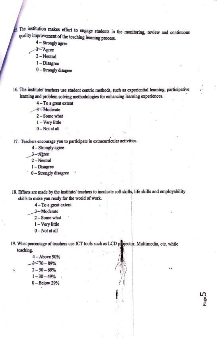The institution makes effort to engage students in the monitoring, review and continuous quality improvement of the teaching learning process.

 $4 -$  Strongly agree

 $3 - \text{Agrec}$ 

- $2 -$ Neutral
- $1 Disagree$
- $0 -$  Strongly disagree
- 16. The institute/ teachers use student centric methods, such as experiential learning, participative learning and problem solving methodologies for enhancing learning experiences.
	- 4-To a great extent
	- 3-Moderate
	- $2 Some what$
	- 1-Very little
	- $0 Not$  at all

17. Teachers encourage you to participate in extracurricular activities.

- 4 Strongly agree
- 3-Agree
- $2 -$ Neutral
- $1 Disagree$
- $0 -$  Strongly disagree
- 18. Efforts are made by the institute/ teachers to inculcate soft skills, life skills and employability skills to make you ready for the world of work.

4-To a great extent

3-Moderate

- 2-Some what
- 1-Very little
- $0 Not$  at all
- 19. What percentage of teachers use ICT tools such as LCD projector, Multimedia, etc. while teaching.

4-Above 90%  $-3 - 70 - 89%$  $2 - 50 - 69%$  $1 - 30 - 49%$  $0 - Below 29%$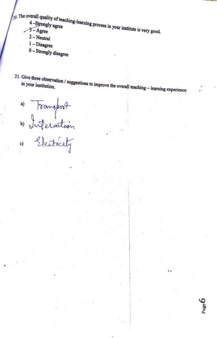$\int_{20}$ . The overall quality of teaching-learning process in your institute is very good.

- 
- $2 Neutral$
- $1 Disagree$
- 0-Strongly disagree
- 

21. Give three observation / suggestions to improve the overall teaching - learning experience

N.K

PageO

a) Fransport<br>b) Inferaction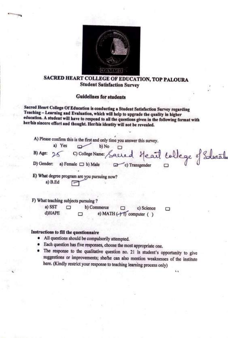

## SACRED HEART COLLEGE OF EDUCATION, TOP PALOURA Student Satisfaction Survey

### Guidelines for students

Sacred Heart College Of Education is conducting a Student Satisfaction Survey regarding Teaching - Learning and Evaluation, which will help to upgrade the quality in higher education. A student will have to respond to all the questions given in the following format with her/his sincere effort and thought. Her/his identity will not be revealed.

|            | a) Yes      |                                              | b) No | A) Please confirm this is the first and only time you answer this survey. |  |  |
|------------|-------------|----------------------------------------------|-------|---------------------------------------------------------------------------|--|--|
| B) Age:    |             |                                              |       | C) College Name: Sacred Heart College of Solucation                       |  |  |
| D) Gender: |             | a) Female $\Box$ b) Male                     |       | c) Transgender                                                            |  |  |
|            | $a)$ $B.Ed$ | E) What degree program are you pursuing now? |       |                                                                           |  |  |
|            |             |                                              |       |                                                                           |  |  |

F) What teaching subjects pursuing ?

a) SST  $\Box$  b) Commerce  $\Box$  c) Science □  $d)$ HAPE  $\Box$  e) MATH ( $\rightarrow$  1) computer ( )

#### **Instructions to fill the questionnaire**

- All questions should be compulsorily attempted.
- Each question has five responses, choose the most appropriate one.
- The response to the qualitative question no. 21 is student's opportunity to give suggestions or improvements: she/he can also mention weaknesses of the institute here. (Kindly restrict your response to teaching learning process only)

l l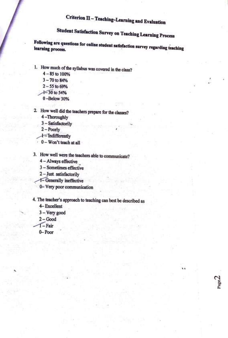# Criterion Il - Teaching-Learning and Evaluation

# **Student Satisfaction Survey on Teaching Learning Process**

Following are questions for online student satisfaction survey regarding teaching learning process.

- 1. How much of the syllabus was covered in the class?
	- 4-85 to 100%
	- 3-70to 84%
	- 2-55 to 69%
	- $+30$  to 54%
	- 0-Below30%
- 2. How well did the teachers prepare for the classes?
	- 4 -Thoroughly
	- 3-Satisfactorily
	- 2-Poorly
	- $\pm$ -Indifferently
	- , 0 Won't teach at all ·
- 3. How well were the teachers able to communicate?
	- 4 Always effective
	- 3 Sometimes effective
	- 2 Just. satisfactorily
	- ~Generally· ineffective· .. ,
	- 0- Very poor communication

# 4. The teacher's approach to teaching can best be described as

l l

- 4-Excellent
- 3 Very good
- 2-Good
- $\sqrt{1 \text{Fair}}$
- 0-Poor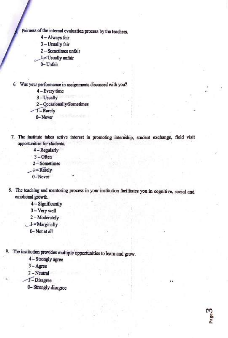Fairness of the internal evaluation process by the teachers.

- 4 Always fair
- 3 Usually fair
- 2 Sometimes unfair
- ~ Usually unfair
- 0-Unfair
- 6. Was your performance in assignments discussed with you?
	- 4 Every time
	- 3-Usually .
	- 2 Occasionally/Sometimes
	- $T -$ Rarely
	- 0-Never
- 7. The institute takes active interest in promoting internship, student exchange, field visit opportunities for students.
	- 4 Regularly
	- 3-0ften
	- 2 Sometimes
	- $\pm$ -Rarely
	- 0-Never
- 8. The teaching and mentoring process in your institution facilitates you in cognitive, social and emotional growth.
	- 4 Significantly
	- 3-Verywell
	- 2 Moderately
	- $\rightarrow$ Marginally
		- 0-Not at all
- 9. The institution provides multiple'opportunities to learn and grow.
	- 4 Strongly agree
	- 3-Agree
	- 2-Neutral
	- T-Disagree
	- 0- Strongly disagree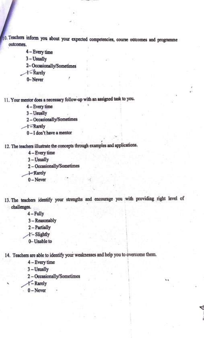O. Teachers inform you about your expected competencies, course outcomes and programme outcomes.

4 - Every time

3-Usually

2-Occasionally/Sometimes<br> $+$  - Rarely

0-Never

11. Your mentor does a necessary follow-up with an assigned task to you.

, ,1

**4** – Every time

3-Usually

2 - Occasionally/Sometimes

 $+$ -Rarely

0-I don't have a mentor

12. The teachers illustrate the concepts through examples and applications.

4 - Every time

. 3-Usually

2 - Occasionally/Sometimes

 $+$ **Rarely** 

0-Never

13. The teachers identify your strengths and encourage you with providing right level of challenges.

\

4-Fully

3 - Reasonably

2 Partially

 $+$ -Slightly

. 0- Unable to

14. Teachers are able to identify your weaknesses and help you to overcome them.

4 - Every time

3-Usually

2 - Occasionally/Sometimes

 $Y -$  Rarely

0-Never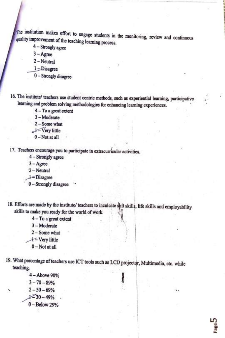The institution makes effort to engage students in the monitoring, review and continuous quality improvement of the teaching learning process.

- $4 -$  Strongly agree
- $3 -$ Agree
- 2-Neutral
- 1-Disagree
- $0 -$ Strongly disagree

16. The institute/ teachers use student centric methods, such as experiential learning, participative learning and problem solving methodologies for enhancing learning experiences.

- 4-To a great extent
- 3-Moderate
- 2 Some what
- Very little
- $0$  Not at all

17. Teachers encourage you to participate in extracurricular activities.

- 4 Strongly agree
- $3 \text{Agree}$
- 2-Neutral
- l-Disagree
- 0-Strongly disagree
- 18. Efforts are made by the institute/ teachers to inculcate soft skills, life skills and employability skills to make you ready for the world of work.
	- $4 To$  a great extent
	- $3 -$ Moderate
	- 2 Some what
	- +- Very little
	- $0$  Not at all
- 19. What percentage of teachers use ICT tools such as LCD projector, Multimedia, etc. while teaching.

h.

4-Above 90%  $3 - 70 - 89%$  $2 - 50 - 69%$  $1 - 30 - 49%$  $0 - Below 29%$